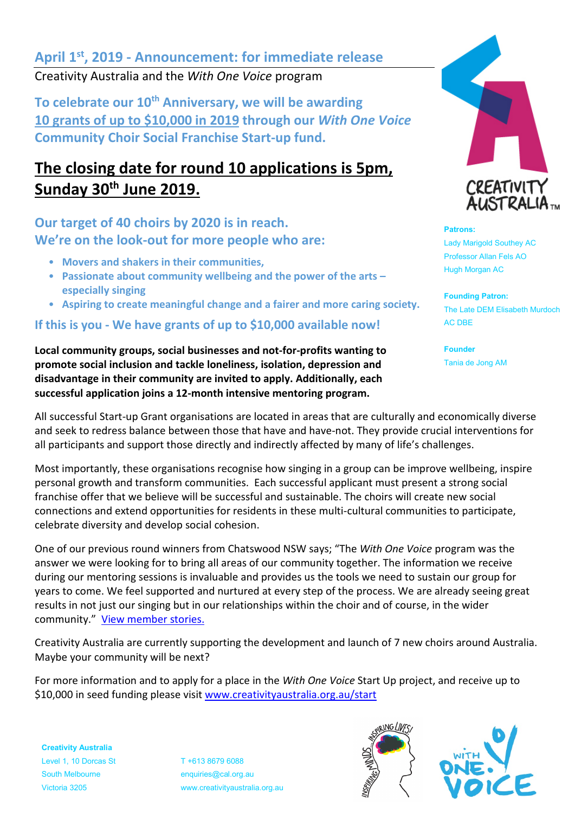# **April 1st , 2019 - Announcement: for immediate release**

Creativity Australia and the *With One Voice* program

To celebrate our 10<sup>th</sup> Anniversary, we will be awarding **10 grants of up to \$10,000 in 2019 through our** *With One Voice*  **Community Choir Social Franchise Start-up fund.**

# **The closing date for round 10 applications is 5pm, Sunday 30th June 2019.**

**Our target of 40 choirs by 2020 is in reach. We're on the look-out for more people who are:**

- **Movers and shakers in their communities,**
- **Passionate about community wellbeing and the power of the arts – especially singing**
- **Aspiring to create meaningful change and a fairer and more caring society.**

**If this is you - We have grants of up to \$10,000 available now!** 

**Local community groups, social businesses and not-for-profits wanting to promote social inclusion and tackle loneliness, isolation, depression and disadvantage in their community are invited to apply. Additionally, each successful application joins a 12-month intensive mentoring program.** 



#### **Patrons:**

Lady Marigold Southey AC Professor Allan Fels AO Hugh Morgan AC

**Founding Patron:** The Late DEM Elisabeth Murdoch AC DBE

**Founder** Tania de Jong AM

All successful Start-up Grant organisations are located in areas that are culturally and economically diverse and seek to redress balance between those that have and have-not. They provide crucial interventions for all participants and support those directly and indirectly affected by many of life's challenges.

Most importantly, these organisations recognise how singing in a group can be improve wellbeing, inspire personal growth and transform communities. Each successful applicant must present a strong social franchise offer that we believe will be successful and sustainable. The choirs will create new social connections and extend opportunities for residents in these multi-cultural communities to participate, celebrate diversity and develop social cohesion.

One of our previous round winners from Chatswood NSW says; "The *With One Voice* program was the answer we were looking for to bring all areas of our community together. The information we receive during our mentoring sessions is invaluable and provides us the tools we need to sustain our group for years to come. We feel supported and nurtured at every step of the process. We are already seeing great results in not just our singing but in our relationships within the choir and of course, in the wider community." [View member stories.](http://www.creativityaustralia.org.au/what-we-do/testimonials/) 

Creativity Australia are currently supporting the development and launch of 7 new choirs around Australia. Maybe your community will be next?

For more information and to apply for a place in the *With One Voice* Start Up project, and receive up to \$10,000 in seed funding please visit [www.creativityaustralia.org.au/start](http://www.creativityaustralia.org.au/start)

**Creativity Australia** Level 1, 10 Dorcas St T +613 8679 6088 South Melbourne enquiries@cal.org.au

Victoria 3205 www.creativityaustralia.org.au